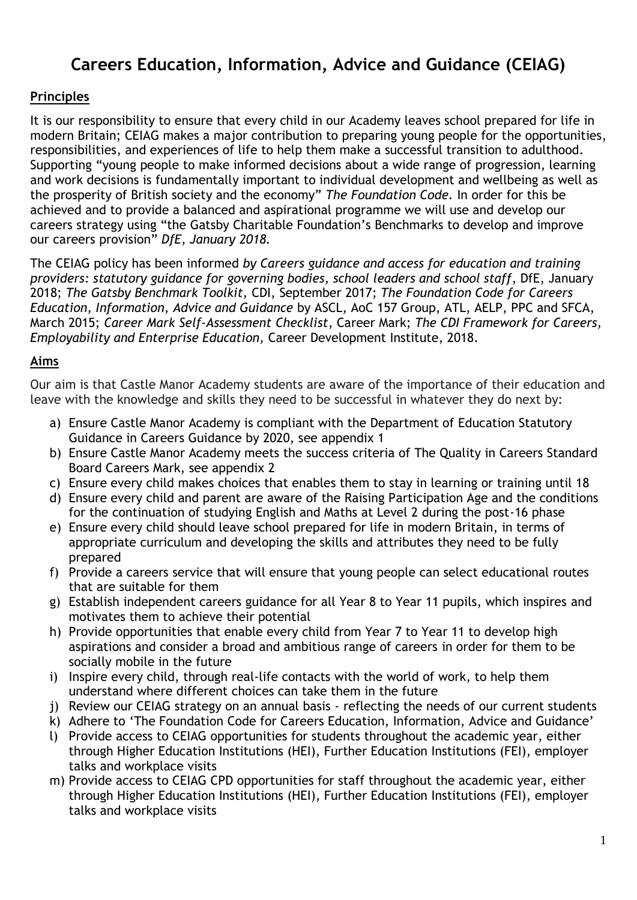# **Careers Education, Information, Advice and Guidance (CEIAG)**

## **Principles**

It is our responsibility to ensure that every child in our Academy leaves school prepared for life in modern Britain; CEIAG makes a major contribution to preparing young people for the opportunities, responsibilities, and experiences of life to help them make a successful transition to adulthood. Supporting "young people to make informed decisions about a wide range of progression, learning and work decisions is fundamentally important to individual development and wellbeing as well as the prosperity of British society and the economy" *The Foundation Code.* In order for this be achieved and to provide a balanced and aspirational programme we will use and develop our careers strategy using "the Gatsby Charitable Foundation's Benchmarks to develop and improve our careers provision" *DfE, January 2018.*

The CEIAG policy has been informed *by Careers guidance and access for education and training providers: statutory guidance for governing bodies, school leaders and school staff*, DfE, January 2018; *The Gatsby Benchmark Toolkit,* CDI, September 2017; *The Foundation Code for Careers Education, Information, Advice and Guidance* by ASCL, AoC 157 Group, ATL, AELP, PPC and SFCA, March 2015; *Career Mark Self-Assessment Checklist*, Career Mark; *The CDI Framework for Careers, Employability and Enterprise Education,* Career Development Institute, 2018.

#### **Aims**

Our aim is that Castle Manor Academy students are aware of the importance of their education and leave with the knowledge and skills they need to be successful in whatever they do next by:

- a) Ensure Castle Manor Academy is compliant with the Department of Education Statutory Guidance in Careers Guidance by 2020, see appendix 1
- b) Ensure Castle Manor Academy meets the success criteria of The Quality in Careers Standard Board Careers Mark, see appendix 2
- c) Ensure every child makes choices that enables them to stay in learning or training until 18
- d) Ensure every child and parent are aware of the Raising Participation Age and the conditions for the continuation of studying English and Maths at Level 2 during the post-16 phase
- e) Ensure every child should leave school prepared for life in modern Britain, in terms of appropriate curriculum and developing the skills and attributes they need to be fully prepared
- f) Provide a careers service that will ensure that young people can select educational routes that are suitable for them
- g) Establish independent careers guidance for all Year 8 to Year 11 pupils, which inspires and motivates them to achieve their potential
- h) Provide opportunities that enable every child from Year 7 to Year 11 to develop high aspirations and consider a broad and ambitious range of careers in order for them to be socially mobile in the future
- i) Inspire every child, through real-life contacts with the world of work, to help them understand where different choices can take them in the future
- j) Review our CEIAG strategy on an annual basis reflecting the needs of our current students
- k) Adhere to 'The Foundation Code for Careers Education, Information, Advice and Guidance'
- l) Provide access to CEIAG opportunities for students throughout the academic year, either through Higher Education Institutions (HEI), Further Education Institutions (FEI), employer talks and workplace visits
- m) Provide access to CEIAG CPD opportunities for staff throughout the academic year, either through Higher Education Institutions (HEI), Further Education Institutions (FEI), employer talks and workplace visits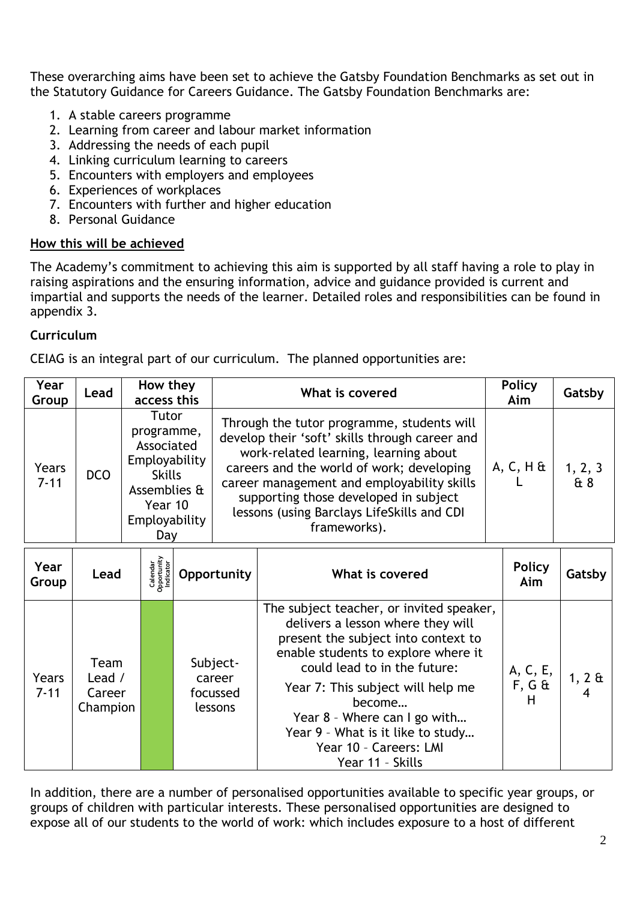These overarching aims have been set to achieve the Gatsby Foundation Benchmarks as set out in the Statutory Guidance for Careers Guidance. The Gatsby Foundation Benchmarks are:

- 1. A stable careers programme
- 2. Learning from career and labour market information
- 3. Addressing the needs of each pupil
- 4. Linking curriculum learning to careers
- 5. Encounters with employers and employees
- 6. Experiences of workplaces
- 7. Encounters with further and higher education
- 8. Personal Guidance

#### **How this will be achieved**

The Academy's commitment to achieving this aim is supported by all staff having a role to play in raising aspirations and the ensuring information, advice and guidance provided is current and impartial and supports the needs of the learner. Detailed roles and responsibilities can be found in appendix 3.

## **Curriculum**

CEIAG is an integral part of our curriculum. The planned opportunities are:

| Year<br>Group     | Lead | How they<br>access this                                                                                                | What is covered                                                                                                                                                                                                                                                                                                                         | <b>Policy</b><br>Aim | Gatsby        |
|-------------------|------|------------------------------------------------------------------------------------------------------------------------|-----------------------------------------------------------------------------------------------------------------------------------------------------------------------------------------------------------------------------------------------------------------------------------------------------------------------------------------|----------------------|---------------|
| Years<br>$7 - 11$ | DCO  | Tutor<br>programme,<br>Associated<br>Employability<br><b>Skills</b><br>Assemblies &<br>Year 10<br>Employability<br>Day | Through the tutor programme, students will<br>develop their 'soft' skills through career and<br>work-related learning, learning about<br>careers and the world of work; developing<br>career management and employability skills<br>supporting those developed in subject<br>lessons (using Barclays LifeSkills and CDI<br>frameworks). | $A, C, H$ &          | 1, 2, 3<br>48 |

| Year<br>Group     | Lead                                 | Calendar<br>Opportunity<br>Indicator | Opportunity                               | What is covered                                                                                                                                                                                                                                                                                                                                               | <b>Policy</b><br>Aim       | Gatsby         |
|-------------------|--------------------------------------|--------------------------------------|-------------------------------------------|---------------------------------------------------------------------------------------------------------------------------------------------------------------------------------------------------------------------------------------------------------------------------------------------------------------------------------------------------------------|----------------------------|----------------|
| Years<br>$7 - 11$ | Team<br>Lead /<br>Career<br>Champion |                                      | Subject-<br>career<br>focussed<br>lessons | The subject teacher, or invited speaker,<br>delivers a lesson where they will<br>present the subject into context to<br>enable students to explore where it<br>could lead to in the future:<br>Year 7: This subject will help me<br>become<br>Year 8 - Where can I go with<br>Year 9 - What is it like to study<br>Year 10 - Careers: LMI<br>Year 11 - Skills | A, C, E,<br>$F, G \&$<br>н | $1, 2 \&$<br>4 |

In addition, there are a number of personalised opportunities available to specific year groups, or groups of children with particular interests. These personalised opportunities are designed to expose all of our students to the world of work: which includes exposure to a host of different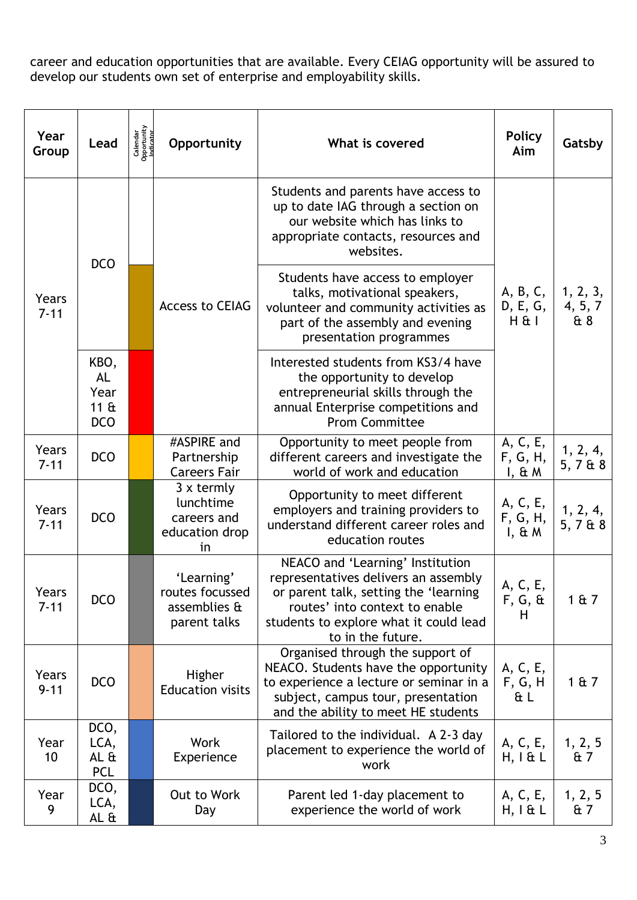career and education opportunities that are available. Every CEIAG opportunity will be assured to develop our students own set of enterprise and employability skills.

| Year<br>Group           | Lead                                               | Calendar<br>Opportunity<br>Indicator | Opportunity                                                     | What is covered                                                                                                                                                                                                    | <b>Policy</b><br>Aim              | Gatsby                     |
|-------------------------|----------------------------------------------------|--------------------------------------|-----------------------------------------------------------------|--------------------------------------------------------------------------------------------------------------------------------------------------------------------------------------------------------------------|-----------------------------------|----------------------------|
| Years<br>$7 - 11$       | <b>DCO</b>                                         |                                      | <b>Access to CEIAG</b>                                          | Students and parents have access to<br>up to date IAG through a section on<br>our website which has links to<br>appropriate contacts, resources and<br>websites.                                                   | A, B, C,<br>D, E, G,<br>$H \& I$  | 1, 2, 3,<br>4, 5, 7<br>& 8 |
|                         |                                                    |                                      |                                                                 | Students have access to employer<br>talks, motivational speakers,<br>volunteer and community activities as<br>part of the assembly and evening<br>presentation programmes                                          |                                   |                            |
|                         | KBO,<br><b>AL</b><br>Year<br>$11 \&$<br><b>DCO</b> |                                      |                                                                 | Interested students from KS3/4 have<br>the opportunity to develop<br>entrepreneurial skills through the<br>annual Enterprise competitions and<br><b>Prom Committee</b>                                             |                                   |                            |
| Years<br>$7 - 11$       | <b>DCO</b>                                         |                                      | #ASPIRE and<br>Partnership<br><b>Careers Fair</b>               | Opportunity to meet people from<br>different careers and investigate the<br>world of work and education                                                                                                            | A, C, E,<br>F, G, H,<br>$I, \& M$ | 1, 2, 4,<br>5, 7 & 8       |
| Years<br>$7 - 11$       | <b>DCO</b>                                         |                                      | $3x$ termly<br>lunchtime<br>careers and<br>education drop<br>in | Opportunity to meet different<br>employers and training providers to<br>understand different career roles and<br>education routes                                                                                  | A, C, E,<br>F, G, H,<br>$I, \& M$ | 1, 2, 4,<br>5, 7 & 8       |
| Years<br>$7 - 11$       | <b>DCO</b>                                         |                                      | 'Learning'<br>routes focussed<br>assemblies &<br>parent talks   | NEACO and 'Learning' Institution<br>representatives delivers an assembly<br>or parent talk, setting the 'learning<br>routes' into context to enable<br>students to explore what it could lead<br>to in the future. | A, C, E,<br>$F, G, \&$<br>Н       | 1 & 7                      |
| Years<br>$9 - 11$       | <b>DCO</b>                                         |                                      | Higher<br><b>Education visits</b>                               | Organised through the support of<br>NEACO. Students have the opportunity<br>to experience a lecture or seminar in a<br>subject, campus tour, presentation<br>and the ability to meet HE students                   | A, C, E,<br>F, G, H<br>ŒΕ         | 1 & 7                      |
| Year<br>10 <sup>°</sup> | DCO,<br>LCA,<br>AL &<br><b>PCL</b>                 |                                      | Work<br>Experience                                              | Tailored to the individual. A 2-3 day<br>placement to experience the world of<br>work                                                                                                                              | A, C, E,<br>$H, I \& L$           | 1, 2, 5<br>& 7             |
| Year<br>9               | DCO,<br>LCA,<br>AL &                               |                                      | Out to Work<br>Day                                              | Parent led 1-day placement to<br>experience the world of work                                                                                                                                                      | A, C, E,<br>$H, I \& L$           | 1, 2, 5<br>$\mathrm{t}$ 7  |